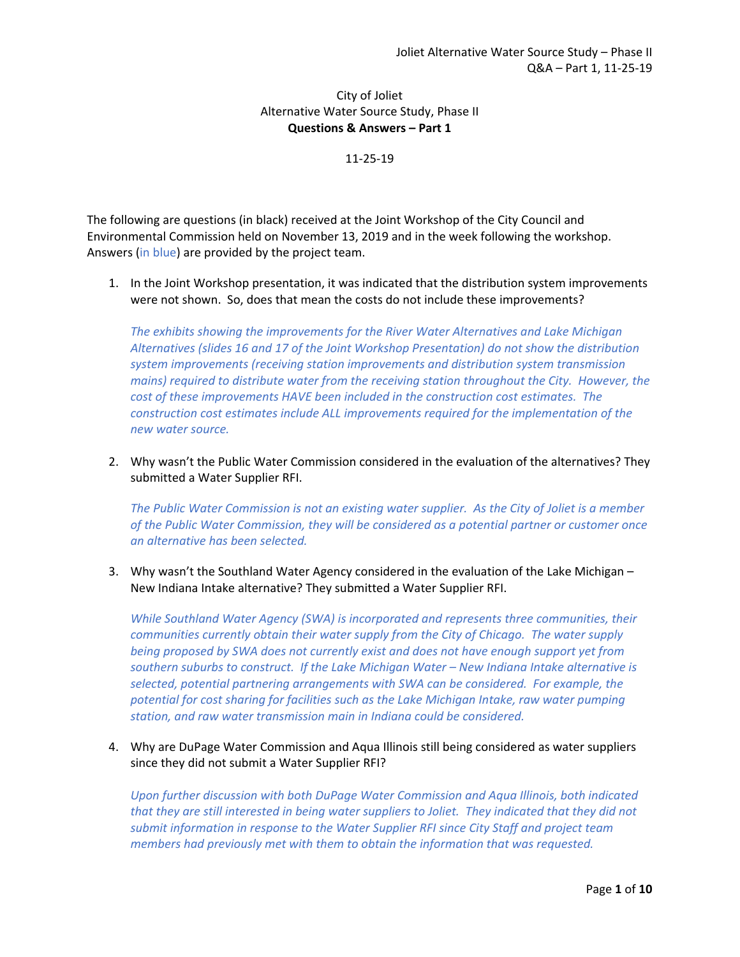City of Joliet Alternative Water Source Study, Phase II **Questions & Answers – Part 1** 

11‐25‐19

The following are questions (in black) received at the Joint Workshop of the City Council and Environmental Commission held on November 13, 2019 and in the week following the workshop. Answers (in blue) are provided by the project team.

1. In the Joint Workshop presentation, it was indicated that the distribution system improvements were not shown. So, does that mean the costs do not include these improvements?

*The exhibits showing the improvements for the River Water Alternatives and Lake Michigan Alternatives (slides 16 and 17 of the Joint Workshop Presentation) do not show the distribution system improvements (receiving station improvements and distribution system transmission mains) required to distribute water from the receiving station throughout the City. However, the cost of these improvements HAVE been included in the construction cost estimates. The construction cost estimates include ALL improvements required for the implementation of the new water source.* 

2. Why wasn't the Public Water Commission considered in the evaluation of the alternatives? They submitted a Water Supplier RFI.

*The Public Water Commission is not an existing water supplier. As the City of Joliet is a member of the Public Water Commission, they will be considered as a potential partner or customer once an alternative has been selected.* 

3. Why wasn't the Southland Water Agency considered in the evaluation of the Lake Michigan – New Indiana Intake alternative? They submitted a Water Supplier RFI.

*While Southland Water Agency (SWA) is incorporated and represents three communities, their communities currently obtain their water supply from the City of Chicago. The water supply being proposed by SWA does not currently exist and does not have enough support yet from southern suburbs to construct. If the Lake Michigan Water – New Indiana Intake alternative is selected, potential partnering arrangements with SWA can be considered. For example, the potential for cost sharing for facilities such as the Lake Michigan Intake, raw water pumping station, and raw water transmission main in Indiana could be considered.* 

4. Why are DuPage Water Commission and Aqua Illinois still being considered as water suppliers since they did not submit a Water Supplier RFI?

*Upon further discussion with both DuPage Water Commission and Aqua Illinois, both indicated that they are still interested in being water suppliers to Joliet. They indicated that they did not submit information in response to the Water Supplier RFI since City Staff and project team members had previously met with them to obtain the information that was requested.*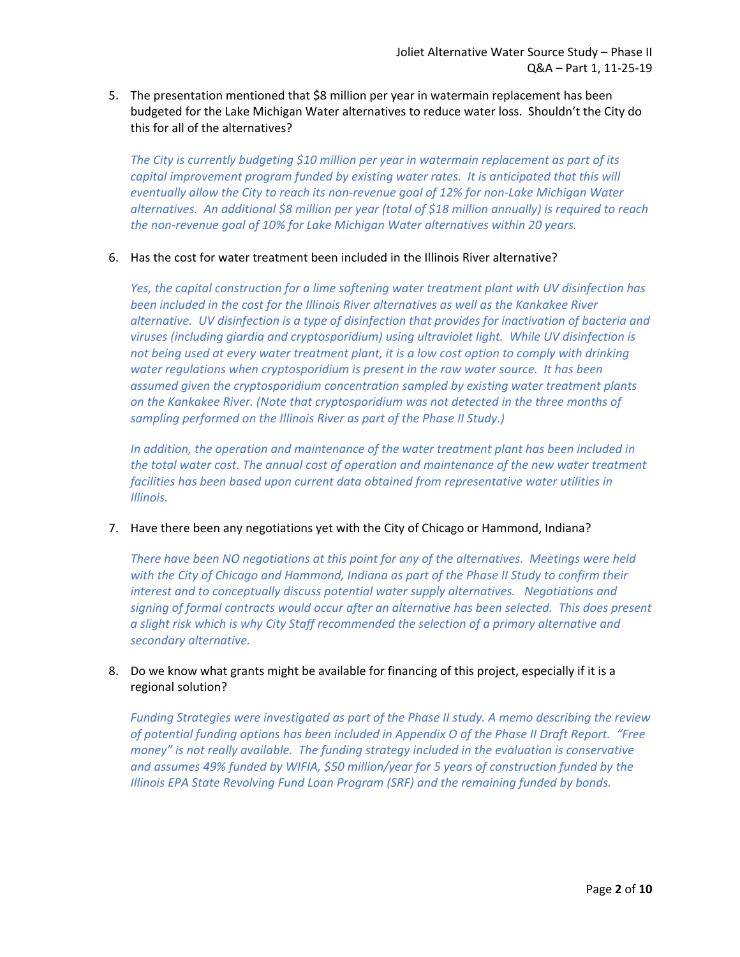5. The presentation mentioned that \$8 million per year in watermain replacement has been budgeted for the Lake Michigan Water alternatives to reduce water loss. Shouldn't the City do this for all of the alternatives?

*The City is currently budgeting \$10 million per year in watermain replacement as part of its capital improvement program funded by existing water rates. It is anticipated that this will eventually allow the City to reach its non‐revenue goal of 12% for non‐Lake Michigan Water alternatives. An additional \$8 million per year (total of \$18 million annually) is required to reach the non‐revenue goal of 10% for Lake Michigan Water alternatives within 20 years.*

#### 6. Has the cost for water treatment been included in the Illinois River alternative?

*Yes, the capital construction for a lime softening water treatment plant with UV disinfection has been included in the cost for the Illinois River alternatives as well as the Kankakee River alternative. UV disinfection is a type of disinfection that provides for inactivation of bacteria and viruses (including giardia and cryptosporidium) using ultraviolet light. While UV disinfection is not being used at every water treatment plant, it is a low cost option to comply with drinking water regulations when cryptosporidium is present in the raw water source. It has been assumed given the cryptosporidium concentration sampled by existing water treatment plants on the Kankakee River. (Note that cryptosporidium was not detected in the three months of sampling performed on the Illinois River as part of the Phase II Study.)* 

*In addition, the operation and maintenance of the water treatment plant has been included in the total water cost. The annual cost of operation and maintenance of the new water treatment facilities has been based upon current data obtained from representative water utilities in Illinois.* 

### 7. Have there been any negotiations yet with the City of Chicago or Hammond, Indiana?

*There have been NO negotiations at this point for any of the alternatives. Meetings were held with the City of Chicago and Hammond, Indiana as part of the Phase II Study to confirm their interest and to conceptually discuss potential water supply alternatives. Negotiations and signing of formal contracts would occur after an alternative has been selected. This does present a slight risk which is why City Staff recommended the selection of a primary alternative and secondary alternative.* 

## 8. Do we know what grants might be available for financing of this project, especially if it is a regional solution?

*Funding Strategies were investigated as part of the Phase II study. A memo describing the review of potential funding options has been included in Appendix O of the Phase II Draft Report. "Free money" is not really available. The funding strategy included in the evaluation is conservative and assumes 49% funded by WIFIA, \$50 million/year for 5 years of construction funded by the Illinois EPA State Revolving Fund Loan Program (SRF) and the remaining funded by bonds.*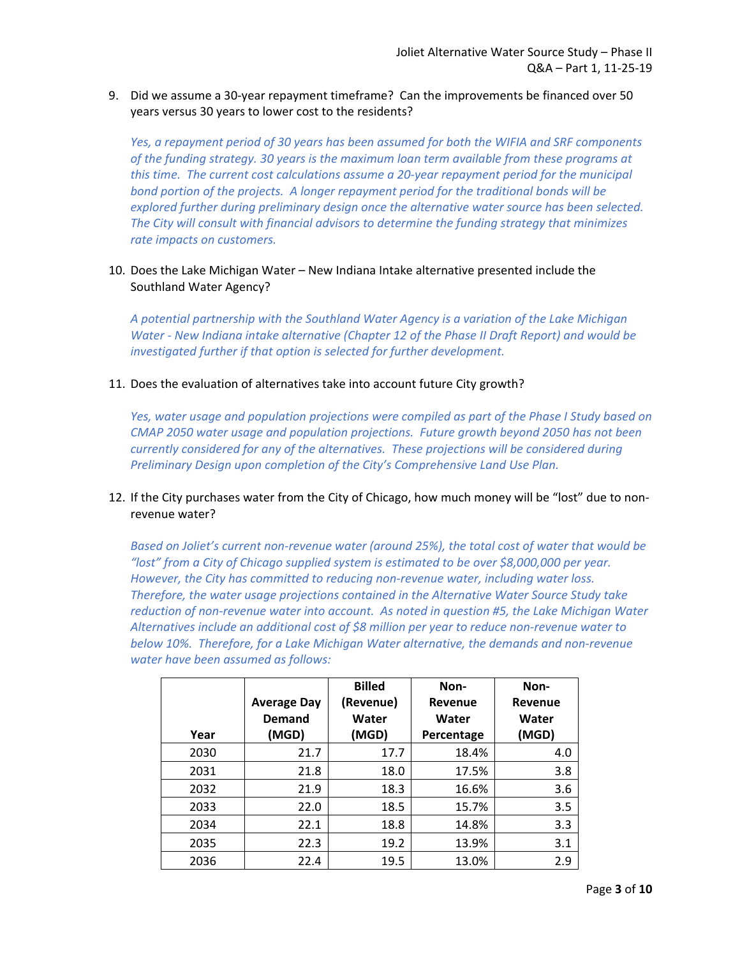### 9. Did we assume a 30‐year repayment timeframe? Can the improvements be financed over 50 years versus 30 years to lower cost to the residents?

*Yes, a repayment period of 30 years has been assumed for both the WIFIA and SRF components of the funding strategy. 30 years is the maximum loan term available from these programs at this time. The current cost calculations assume a 20‐year repayment period for the municipal bond portion of the projects. A longer repayment period for the traditional bonds will be explored further during preliminary design once the alternative water source has been selected. The City will consult with financial advisors to determine the funding strategy that minimizes rate impacts on customers.* 

### 10. Does the Lake Michigan Water – New Indiana Intake alternative presented include the Southland Water Agency?

*A potential partnership with the Southland Water Agency is a variation of the Lake Michigan Water ‐ New Indiana intake alternative (Chapter 12 of the Phase II Draft Report) and would be*  investigated further if that option is selected for further development.

### 11. Does the evaluation of alternatives take into account future City growth?

*Yes, water usage and population projections were compiled as part of the Phase I Study based on CMAP 2050 water usage and population projections. Future growth beyond 2050 has not been currently considered for any of the alternatives. These projections will be considered during Preliminary Design upon completion of the City's Comprehensive Land Use Plan.* 

## 12. If the City purchases water from the City of Chicago, how much money will be "lost" due to non‐ revenue water?

*Based on Joliet's current non‐revenue water (around 25%), the total cost of water that would be "lost" from a City of Chicago supplied system is estimated to be over \$8,000,000 per year. However, the City has committed to reducing non‐revenue water, including water loss. Therefore, the water usage projections contained in the Alternative Water Source Study take reduction of non‐revenue water into account. As noted in question #5, the Lake Michigan Water Alternatives include an additional cost of \$8 million per year to reduce non‐revenue water to below 10%. Therefore, for a Lake Michigan Water alternative, the demands and non‐revenue water have been assumed as follows:* 

|      | <b>Average Day</b><br>Demand | <b>Billed</b><br>(Revenue)<br>Water | Non-<br>Revenue<br>Water | Non-<br>Revenue<br>Water |
|------|------------------------------|-------------------------------------|--------------------------|--------------------------|
| Year | (MGD)                        | (MGD)                               | Percentage               | (MGD)                    |
| 2030 | 21.7                         | 17.7                                | 18.4%                    | 4.0                      |
| 2031 | 21.8                         | 18.0                                | 17.5%                    | 3.8                      |
| 2032 | 21.9                         | 18.3                                | 16.6%                    | 3.6                      |
| 2033 | 22.0                         | 18.5                                | 15.7%                    | 3.5                      |
| 2034 | 22.1                         | 18.8                                | 14.8%                    | 3.3                      |
| 2035 | 22.3                         | 19.2                                | 13.9%                    | 3.1                      |
| 2036 | 22.4                         | 19.5                                | 13.0%                    | 2.9                      |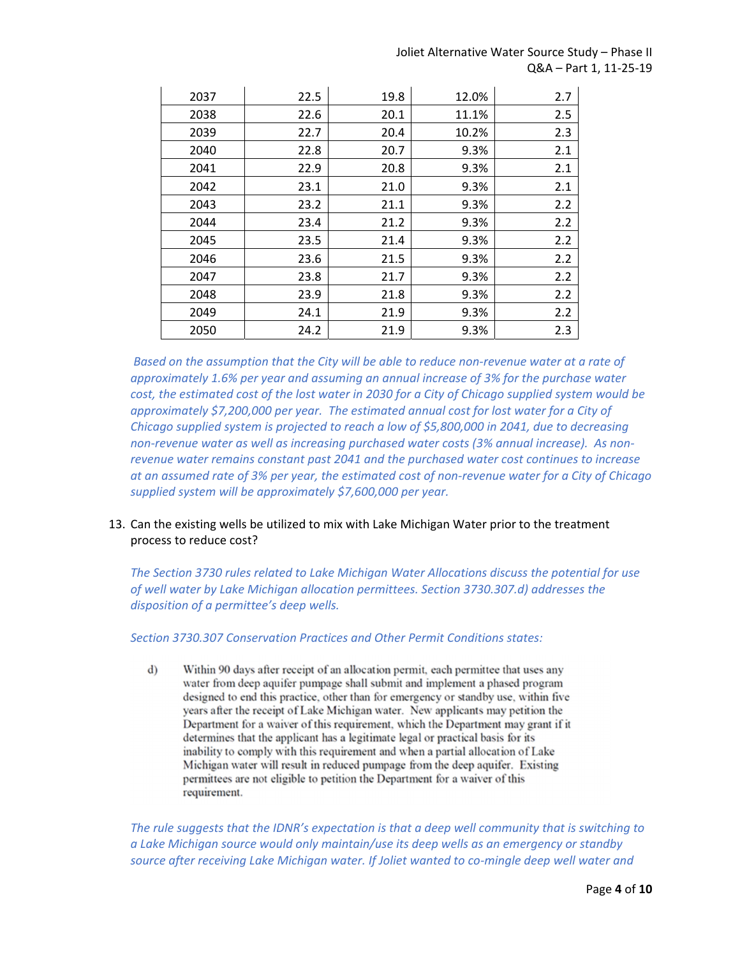Joliet Alternative Water Source Study – Phase II Q&A – Part 1, 11‐25‐19

| 2037 | 22.5 | 19.8 | 12.0% | 2.7 |
|------|------|------|-------|-----|
| 2038 | 22.6 | 20.1 | 11.1% | 2.5 |
| 2039 | 22.7 | 20.4 | 10.2% | 2.3 |
| 2040 | 22.8 | 20.7 | 9.3%  | 2.1 |
| 2041 | 22.9 | 20.8 | 9.3%  | 2.1 |
| 2042 | 23.1 | 21.0 | 9.3%  | 2.1 |
| 2043 | 23.2 | 21.1 | 9.3%  | 2.2 |
| 2044 | 23.4 | 21.2 | 9.3%  | 2.2 |
| 2045 | 23.5 | 21.4 | 9.3%  | 2.2 |
| 2046 | 23.6 | 21.5 | 9.3%  | 2.2 |
| 2047 | 23.8 | 21.7 | 9.3%  | 2.2 |
| 2048 | 23.9 | 21.8 | 9.3%  | 2.2 |
| 2049 | 24.1 | 21.9 | 9.3%  | 2.2 |
| 2050 | 24.2 | 21.9 | 9.3%  | 2.3 |

 *Based on the assumption that the City will be able to reduce non‐revenue water at a rate of approximately 1.6% per year and assuming an annual increase of 3% for the purchase water cost, the estimated cost of the lost water in 2030 for a City of Chicago supplied system would be approximately \$7,200,000 per year. The estimated annual cost for lost water for a City of Chicago supplied system is projected to reach a low of \$5,800,000 in 2041, due to decreasing non‐revenue water as well as increasing purchased water costs (3% annual increase). As non‐ revenue water remains constant past 2041 and the purchased water cost continues to increase at an assumed rate of 3% per year, the estimated cost of non‐revenue water for a City of Chicago supplied system will be approximately \$7,600,000 per year.* 

## 13. Can the existing wells be utilized to mix with Lake Michigan Water prior to the treatment process to reduce cost?

*The Section 3730 rules related to Lake Michigan Water Allocations discuss the potential for use of well water by Lake Michigan allocation permittees. Section 3730.307.d) addresses the disposition of a permittee's deep wells.* 

*Section 3730.307 Conservation Practices and Other Permit Conditions states:* 

 $\mathbf{d}$ Within 90 days after receipt of an allocation permit, each permittee that uses any water from deep aquifer pumpage shall submit and implement a phased program designed to end this practice, other than for emergency or standby use, within five years after the receipt of Lake Michigan water. New applicants may petition the Department for a waiver of this requirement, which the Department may grant if it determines that the applicant has a legitimate legal or practical basis for its inability to comply with this requirement and when a partial allocation of Lake Michigan water will result in reduced pumpage from the deep aquifer. Existing permittees are not eligible to petition the Department for a waiver of this requirement.

*The rule suggests that the IDNR's expectation is that a deep well community that is switching to a Lake Michigan source would only maintain/use its deep wells as an emergency or standby source after receiving Lake Michigan water. If Joliet wanted to co‐mingle deep well water and*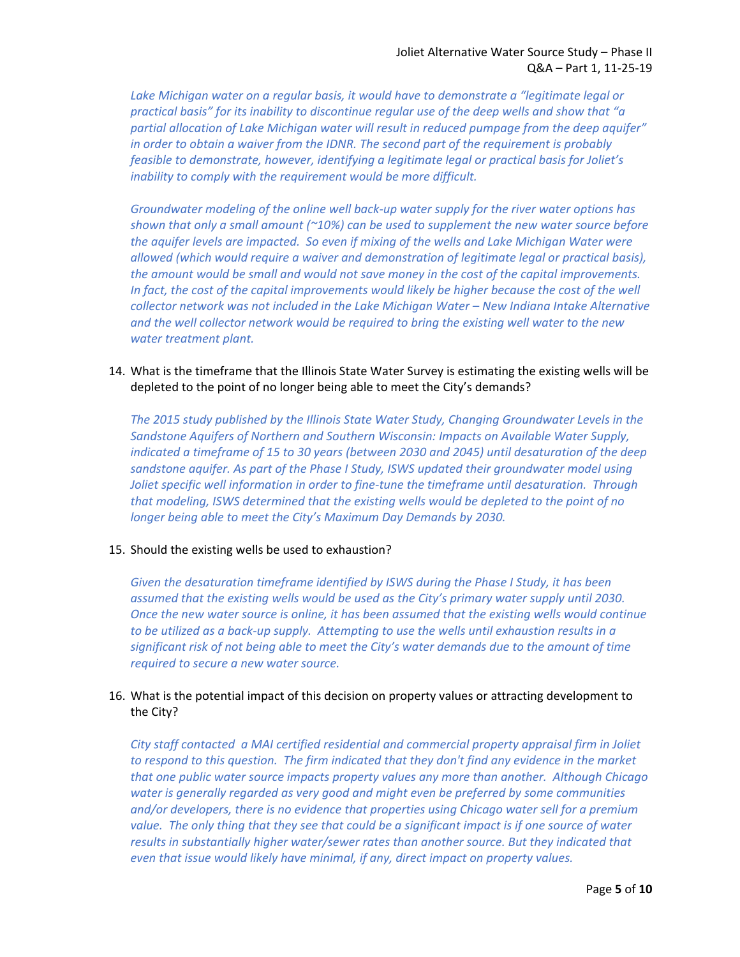Lake Michigan water on a regular basis, it would have to demonstrate a "legitimate legal or *practical basis" for its inability to discontinue regular use of the deep wells and show that "a partial allocation of Lake Michigan water will result in reduced pumpage from the deep aquifer" in order to obtain a waiver from the IDNR. The second part of the requirement is probably feasible to demonstrate, however, identifying a legitimate legal or practical basis for Joliet's inability to comply with the requirement would be more difficult.* 

*Groundwater modeling of the online well back‐up water supply for the river water options has shown that only a small amount (~10%) can be used to supplement the new water source before the aquifer levels are impacted. So even if mixing of the wells and Lake Michigan Water were allowed (which would require a waiver and demonstration of legitimate legal or practical basis), the amount would be small and would not save money in the cost of the capital improvements.*  In fact, the cost of the capital improvements would likely be higher because the cost of the well *collector network was not included in the Lake Michigan Water – New Indiana Intake Alternative and the well collector network would be required to bring the existing well water to the new water treatment plant.* 

14. What is the timeframe that the Illinois State Water Survey is estimating the existing wells will be depleted to the point of no longer being able to meet the City's demands?

*The 2015 study published by the Illinois State Water Study, Changing Groundwater Levels in the Sandstone Aquifers of Northern and Southern Wisconsin: Impacts on Available Water Supply, indicated a timeframe of 15 to 30 years (between 2030 and 2045) until desaturation of the deep sandstone aquifer. As part of the Phase I Study, ISWS updated their groundwater model using Joliet specific well information in order to fine-tune the timeframe until desaturation. Through that modeling, ISWS determined that the existing wells would be depleted to the point of no longer being able to meet the City's Maximum Day Demands by 2030.* 

### 15. Should the existing wells be used to exhaustion?

*Given the desaturation timeframe identified by ISWS during the Phase I Study, it has been assumed that the existing wells would be used as the City's primary water supply until 2030. Once the new water source is online, it has been assumed that the existing wells would continue to be utilized as a back‐up supply. Attempting to use the wells until exhaustion results in a significant risk of not being able to meet the City's water demands due to the amount of time required to secure a new water source.* 

## 16. What is the potential impact of this decision on property values or attracting development to the City?

*City staff contacted a MAI certified residential and commercial property appraisal firm in Joliet to respond to this question. The firm indicated that they don't find any evidence in the market that one public water source impacts property values any more than another. Although Chicago water is generally regarded as very good and might even be preferred by some communities and/or developers, there is no evidence that properties using Chicago water sell for a premium value. The only thing that they see that could be a significant impact is if one source of water results in substantially higher water/sewer rates than another source. But they indicated that even that issue would likely have minimal, if any, direct impact on property values.*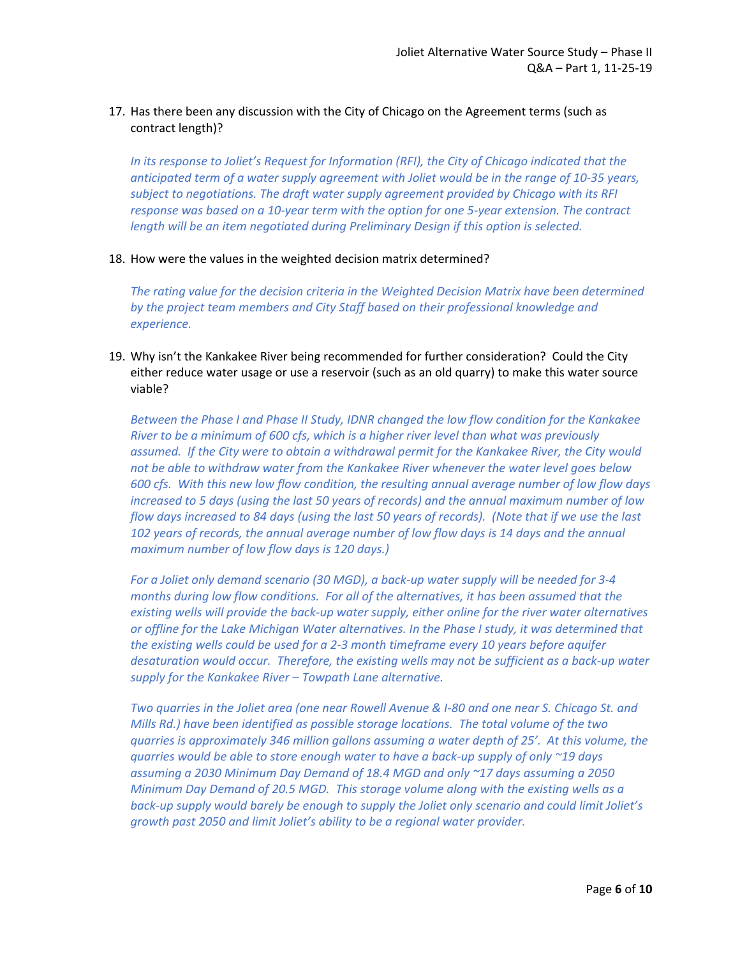## 17. Has there been any discussion with the City of Chicago on the Agreement terms (such as contract length)?

*In its response to Joliet's Request for Information (RFI), the City of Chicago indicated that the anticipated term of a water supply agreement with Joliet would be in the range of 10‐35 years, subject to negotiations. The draft water supply agreement provided by Chicago with its RFI response was based on a 10‐year term with the option for one 5‐year extension. The contract length will be an item negotiated during Preliminary Design if this option is selected.* 

#### 18. How were the values in the weighted decision matrix determined?

*The rating value for the decision criteria in the Weighted Decision Matrix have been determined by the project team members and City Staff based on their professional knowledge and experience.* 

19. Why isn't the Kankakee River being recommended for further consideration? Could the City either reduce water usage or use a reservoir (such as an old quarry) to make this water source viable?

*Between the Phase I and Phase II Study, IDNR changed the low flow condition for the Kankakee River to be a minimum of 600 cfs, which is a higher river level than what was previously assumed. If the City were to obtain a withdrawal permit for the Kankakee River, the City would not be able to withdraw water from the Kankakee River whenever the water level goes below 600 cfs. With this new low flow condition, the resulting annual average number of low flow days increased to 5 days (using the last 50 years of records) and the annual maximum number of low flow days increased to 84 days (using the last 50 years of records). (Note that if we use the last*  102 years of records, the annual average number of low flow days is 14 days and the annual *maximum number of low flow days is 120 days.)* 

*For a Joliet only demand scenario (30 MGD), a back‐up water supply will be needed for 3‐4 months during low flow conditions. For all of the alternatives, it has been assumed that the existing wells will provide the back‐up water supply, either online for the river water alternatives or offline for the Lake Michigan Water alternatives. In the Phase I study, it was determined that the existing wells could be used for a 2‐3 month timeframe every 10 years before aquifer desaturation would occur. Therefore, the existing wells may not be sufficient as a back‐up water supply for the Kankakee River – Towpath Lane alternative.* 

*Two quarries in the Joliet area (one near Rowell Avenue & I‐80 and one near S. Chicago St. and Mills Rd.) have been identified as possible storage locations. The total volume of the two quarries is approximately 346 million gallons assuming a water depth of 25'. At this volume, the quarries would be able to store enough water to have a back‐up supply of only ~19 days assuming a 2030 Minimum Day Demand of 18.4 MGD and only ~17 days assuming a 2050 Minimum Day Demand of 20.5 MGD. This storage volume along with the existing wells as a back‐up supply would barely be enough to supply the Joliet only scenario and could limit Joliet's growth past 2050 and limit Joliet's ability to be a regional water provider.*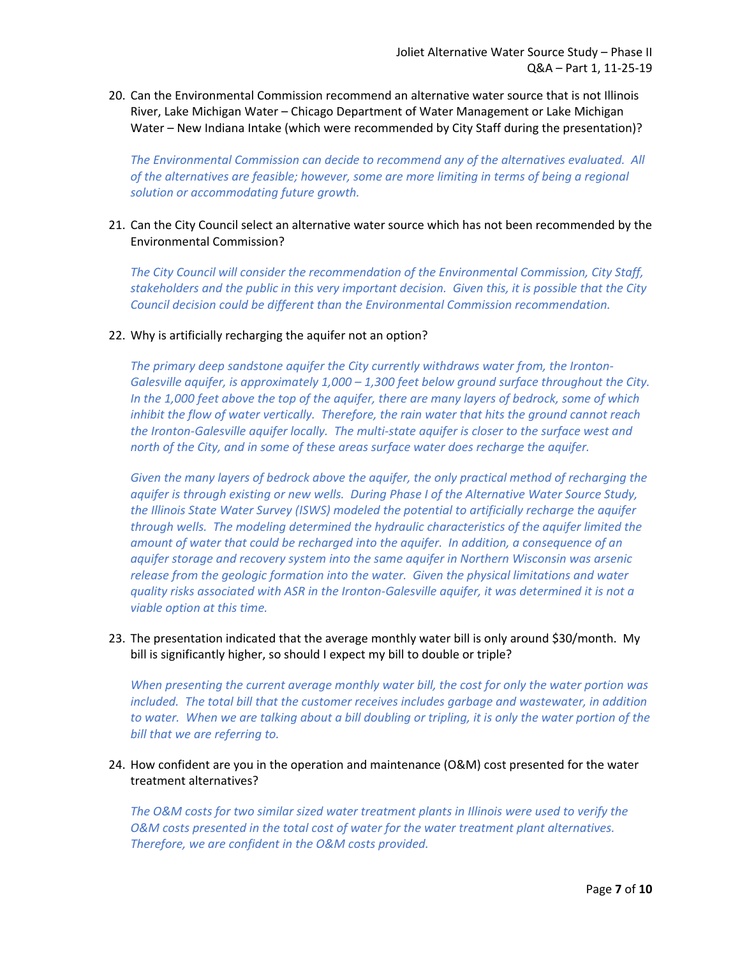20. Can the Environmental Commission recommend an alternative water source that is not Illinois River, Lake Michigan Water – Chicago Department of Water Management or Lake Michigan Water – New Indiana Intake (which were recommended by City Staff during the presentation)?

*The Environmental Commission can decide to recommend any of the alternatives evaluated. All of the alternatives are feasible; however, some are more limiting in terms of being a regional solution or accommodating future growth.* 

21. Can the City Council select an alternative water source which has not been recommended by the Environmental Commission?

*The City Council will consider the recommendation of the Environmental Commission, City Staff, stakeholders and the public in this very important decision. Given this, it is possible that the City Council decision could be different than the Environmental Commission recommendation.* 

### 22. Why is artificially recharging the aquifer not an option?

*The primary deep sandstone aquifer the City currently withdraws water from, the Ironton‐ Galesville aquifer, is approximately 1,000 – 1,300 feet below ground surface throughout the City. In the 1,000 feet above the top of the aquifer, there are many layers of bedrock, some of which inhibit the flow of water vertically. Therefore, the rain water that hits the ground cannot reach the Ironton‐Galesville aquifer locally. The multi‐state aquifer is closer to the surface west and*  north of the City, and in some of these areas surface water does recharge the aquifer.

*Given the many layers of bedrock above the aquifer, the only practical method of recharging the aquifer is through existing or new wells. During Phase I of the Alternative Water Source Study, the Illinois State Water Survey (ISWS) modeled the potential to artificially recharge the aquifer through wells. The modeling determined the hydraulic characteristics of the aquifer limited the amount of water that could be recharged into the aquifer. In addition, a consequence of an aquifer storage and recovery system into the same aquifer in Northern Wisconsin was arsenic release from the geologic formation into the water. Given the physical limitations and water quality risks associated with ASR in the Ironton‐Galesville aquifer, it was determined it is not a viable option at this time.*

23. The presentation indicated that the average monthly water bill is only around \$30/month. My bill is significantly higher, so should I expect my bill to double or triple?

*When presenting the current average monthly water bill, the cost for only the water portion was included. The total bill that the customer receives includes garbage and wastewater, in addition to water. When we are talking about a bill doubling or tripling, it is only the water portion of the bill that we are referring to.* 

24. How confident are you in the operation and maintenance (O&M) cost presented for the water treatment alternatives?

*The O&M costs for two similar sized water treatment plants in Illinois were used to verify the O&M costs presented in the total cost of water for the water treatment plant alternatives. Therefore, we are confident in the O&M costs provided.*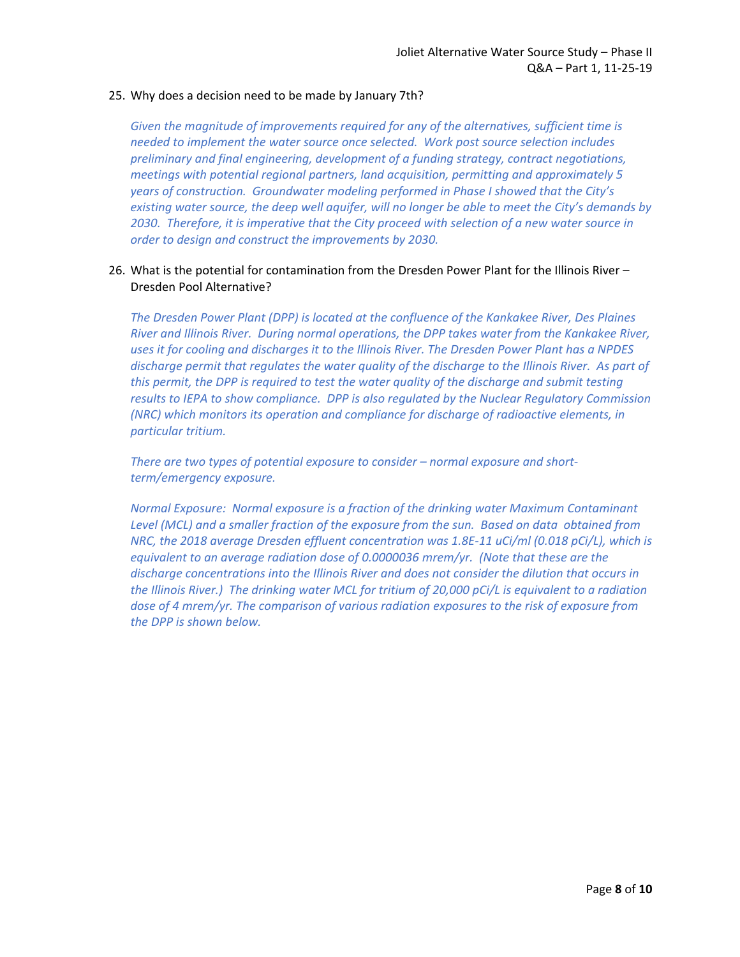### 25. Why does a decision need to be made by January 7th?

*Given the magnitude of improvements required for any of the alternatives, sufficient time is needed to implement the water source once selected. Work post source selection includes preliminary and final engineering, development of a funding strategy, contract negotiations, meetings with potential regional partners, land acquisition, permitting and approximately 5 years of construction. Groundwater modeling performed in Phase I showed that the City's existing water source, the deep well aquifer, will no longer be able to meet the City's demands by 2030. Therefore, it is imperative that the City proceed with selection of a new water source in order to design and construct the improvements by 2030.* 

## 26. What is the potential for contamination from the Dresden Power Plant for the Illinois River – Dresden Pool Alternative?

*The Dresden Power Plant (DPP) is located at the confluence of the Kankakee River, Des Plaines River and Illinois River. During normal operations, the DPP takes water from the Kankakee River, uses it for cooling and discharges it to the Illinois River. The Dresden Power Plant has a NPDES discharge permit that regulates the water quality of the discharge to the Illinois River. As part of this permit, the DPP is required to test the water quality of the discharge and submit testing results to IEPA to show compliance. DPP is also regulated by the Nuclear Regulatory Commission (NRC) which monitors its operation and compliance for discharge of radioactive elements, in particular tritium.* 

*There are two types of potential exposure to consider – normal exposure and short‐ term/emergency exposure.* 

*Normal Exposure: Normal exposure is a fraction of the drinking water Maximum Contaminant Level (MCL) and a smaller fraction of the exposure from the sun. Based on data obtained from NRC, the 2018 average Dresden effluent concentration was 1.8E‐11 uCi/ml (0.018 pCi/L), which is equivalent to an average radiation dose of 0.0000036 mrem/yr. (Note that these are the discharge concentrations into the Illinois River and does not consider the dilution that occurs in the Illinois River.) The drinking water MCL for tritium of 20,000 pCi/L is equivalent to a radiation dose of 4 mrem/yr. The comparison of various radiation exposures to the risk of exposure from the DPP is shown below.*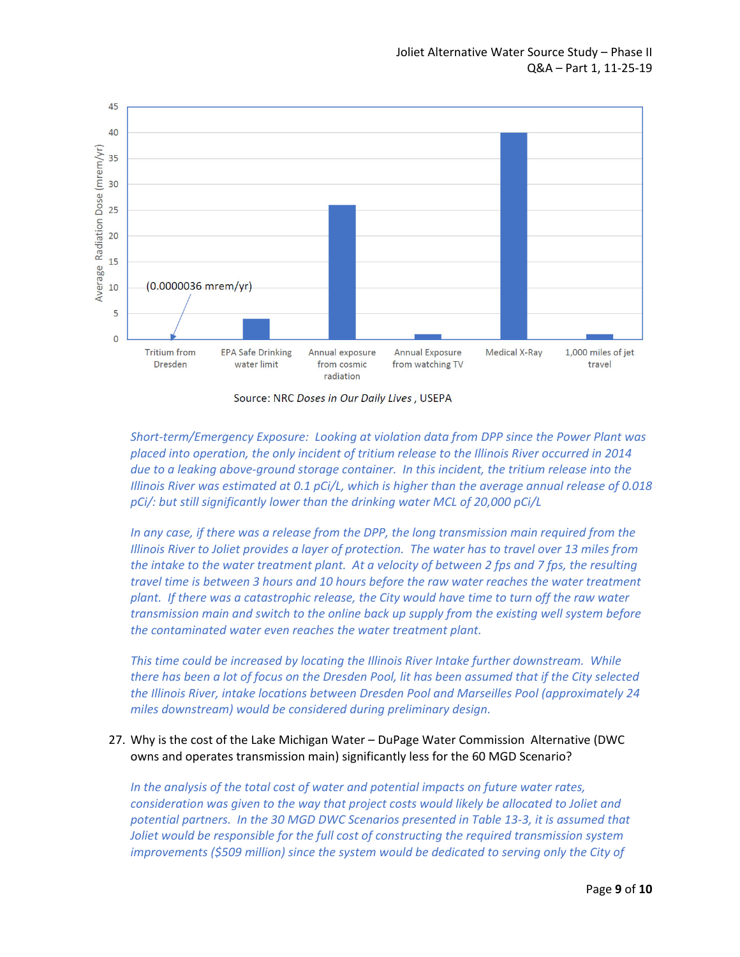

Source: NRC Doses in Our Daily Lives, USEPA

*Short‐term/Emergency Exposure: Looking at violation data from DPP since the Power Plant was placed into operation, the only incident of tritium release to the Illinois River occurred in 2014 due to a leaking above‐ground storage container. In this incident, the tritium release into the Illinois River was estimated at 0.1 pCi/L, which is higher than the average annual release of 0.018 pCi/: but still significantly lower than the drinking water MCL of 20,000 pCi/L* 

*In any case, if there was a release from the DPP, the long transmission main required from the Illinois River to Joliet provides a layer of protection. The water has to travel over 13 miles from the intake to the water treatment plant. At a velocity of between 2 fps and 7 fps, the resulting travel time is between 3 hours and 10 hours before the raw water reaches the water treatment plant. If there was a catastrophic release, the City would have time to turn off the raw water transmission main and switch to the online back up supply from the existing well system before the contaminated water even reaches the water treatment plant.* 

*This time could be increased by locating the Illinois River Intake further downstream. While there has been a lot of focus on the Dresden Pool, lit has been assumed that if the City selected the Illinois River, intake locations between Dresden Pool and Marseilles Pool (approximately 24*  miles downstream) would be considered during preliminary design.

## 27. Why is the cost of the Lake Michigan Water – DuPage Water Commission Alternative (DWC owns and operates transmission main) significantly less for the 60 MGD Scenario?

*In the analysis of the total cost of water and potential impacts on future water rates, consideration was given to the way that project costs would likely be allocated to Joliet and potential partners. In the 30 MGD DWC Scenarios presented in Table 13‐3, it is assumed that Joliet would be responsible for the full cost of constructing the required transmission system improvements (\$509 million) since the system would be dedicated to serving only the City of*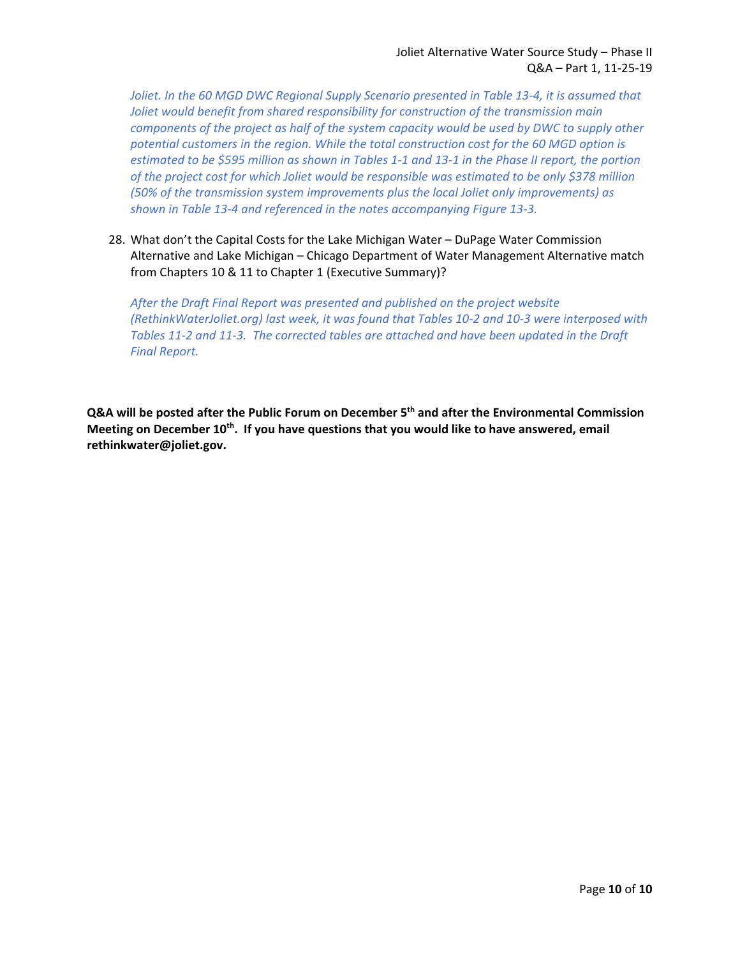*Joliet. In the 60 MGD DWC Regional Supply Scenario presented in Table 13‐4, it is assumed that Joliet would benefit from shared responsibility for construction of the transmission main components of the project as half of the system capacity would be used by DWC to supply other potential customers in the region. While the total construction cost for the 60 MGD option is estimated to be \$595 million as shown in Tables 1‐1 and 13‐1 in the Phase II report, the portion of the project cost for which Joliet would be responsible was estimated to be only \$378 million (50% of the transmission system improvements plus the local Joliet only improvements) as shown in Table 13‐4 and referenced in the notes accompanying Figure 13‐3.* 

28. What don't the Capital Costs for the Lake Michigan Water – DuPage Water Commission Alternative and Lake Michigan – Chicago Department of Water Management Alternative match from Chapters 10 & 11 to Chapter 1 (Executive Summary)?

*After the Draft Final Report was presented and published on the project website (RethinkWaterJoliet.org) last week, it was found that Tables 10‐2 and 10‐3 were interposed with Tables 11‐2 and 11‐3. The corrected tables are attached and have been updated in the Draft Final Report.* 

**Q&A will be posted after the Public Forum on December 5th and after the Environmental Commission Meeting on December 10th. If you have questions that you would like to have answered, email rethinkwater@joliet.gov.**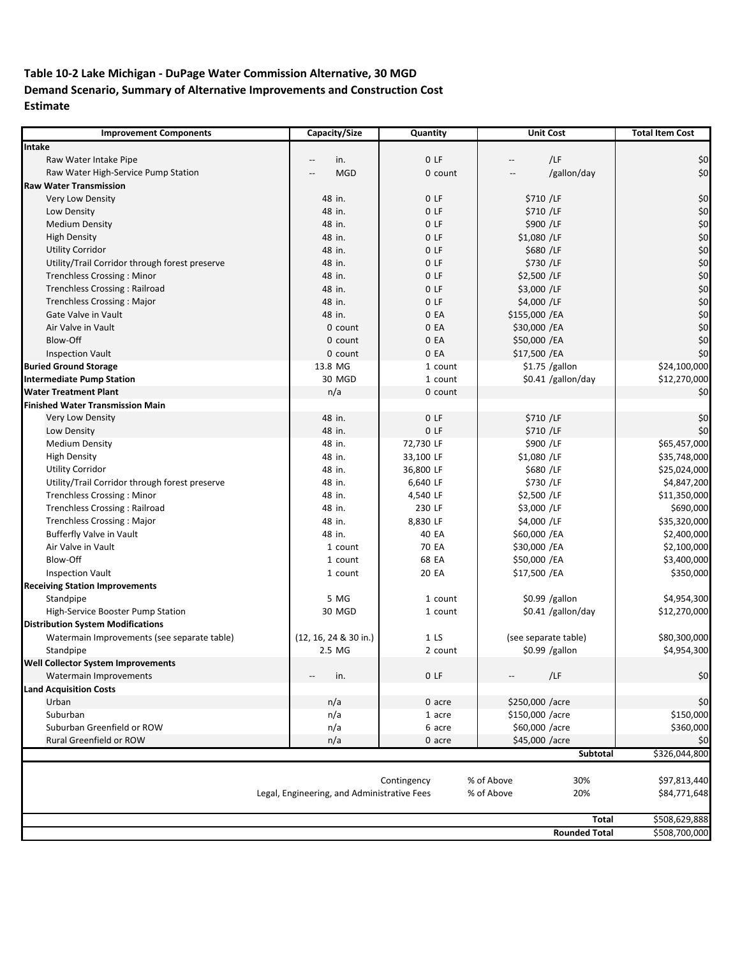# **Table 10‐2 Lake Michigan ‐ DuPage Water Commission Alternative, 30 MGD Demand Scenario, Summary of Alternative Improvements and Construction Cost Estimate**

| <b>Improvement Components</b>                  | Capacity/Size                               | Quantity        | <b>Unit Cost</b>                                           | <b>Total Item Cost</b> |
|------------------------------------------------|---------------------------------------------|-----------------|------------------------------------------------------------|------------------------|
| Intake                                         |                                             |                 |                                                            |                        |
| Raw Water Intake Pipe                          | in.                                         | 0 <sub>LF</sub> | /LF<br>$\hspace{0.05cm} -\hspace{0.05cm} -\hspace{0.05cm}$ | \$0                    |
| Raw Water High-Service Pump Station            | <b>MGD</b>                                  | 0 count         | /gallon/day                                                | \$0                    |
| <b>Raw Water Transmission</b>                  |                                             |                 |                                                            |                        |
| Very Low Density                               | 48 in.                                      | 0 <sub>LF</sub> | \$710 /LF                                                  | \$0                    |
| Low Density                                    | 48 in.                                      | 0 <sub>LF</sub> | \$710 /LF                                                  | \$0                    |
| <b>Medium Density</b>                          | 48 in.                                      | 0 F             | \$900 /LF                                                  | \$0                    |
| <b>High Density</b>                            | 48 in.                                      | 0 <sub>LF</sub> | \$1,080 /LF                                                | \$0                    |
| <b>Utility Corridor</b>                        | 48 in.                                      | 0 <sub>LF</sub> | \$680 /LF                                                  | \$0\$                  |
| Utility/Trail Corridor through forest preserve | 48 in.                                      | 0 <sub>LF</sub> | \$730 /LF                                                  | \$0                    |
| <b>Trenchless Crossing: Minor</b>              | 48 in.                                      | 0 F             | \$2,500 /LF                                                | \$0                    |
| Trenchless Crossing: Railroad                  | 48 in.                                      | 0 <sub>LF</sub> | \$3,000 /LF                                                | \$0                    |
| <b>Trenchless Crossing: Major</b>              | 48 in.                                      | 0 <sub>LF</sub> | \$4,000 /LF                                                | \$0\$                  |
| Gate Valve in Vault                            | 48 in.                                      | 0 EA            | \$155,000 /EA                                              | \$0                    |
| Air Valve in Vault                             | 0 count                                     | 0 EA            | \$30,000 /EA                                               | \$0                    |
| Blow-Off                                       | 0 count                                     | 0 EA            | \$50,000 /EA                                               | \$0                    |
| <b>Inspection Vault</b>                        | 0 count                                     | 0 EA            | \$17,500 /EA                                               | \$0                    |
| <b>Buried Ground Storage</b>                   | 13.8 MG                                     | 1 count         | $$1.75$ /gallon                                            | \$24,100,000           |
| <b>Intermediate Pump Station</b>               | 30 MGD                                      | 1 count         | \$0.41 /gallon/day                                         | \$12,270,000           |
| <b>Water Treatment Plant</b>                   | n/a                                         | 0 count         |                                                            | \$0                    |
| <b>Finished Water Transmission Main</b>        |                                             |                 |                                                            |                        |
| Very Low Density                               | 48 in.                                      | 0 <sub>LF</sub> | \$710 /LF                                                  | \$0                    |
|                                                | 48 in.                                      | 0 <sub>LF</sub> | \$710 /LF                                                  | \$0                    |
| Low Density<br><b>Medium Density</b>           |                                             |                 |                                                            | \$65,457,000           |
|                                                | 48 in.                                      | 72,730 LF       | \$900 /LF                                                  |                        |
| <b>High Density</b>                            | 48 in.                                      | 33,100 LF       | \$1,080 /LF                                                | \$35,748,000           |
| <b>Utility Corridor</b>                        | 48 in.                                      | 36,800 LF       | \$680 /LF                                                  | \$25,024,000           |
| Utility/Trail Corridor through forest preserve | 48 in.                                      | 6,640 LF        | \$730 /LF                                                  | \$4,847,200            |
| <b>Trenchless Crossing: Minor</b>              | 48 in.                                      | 4,540 LF        | \$2,500 /LF                                                | \$11,350,000           |
| Trenchless Crossing : Railroad                 | 48 in.                                      | 230 LF          | \$3,000 /LF                                                | \$690,000              |
| <b>Trenchless Crossing: Major</b>              | 48 in.                                      | 8,830 LF        | \$4,000 /LF                                                | \$35,320,000           |
| <b>Bufferfly Valve in Vault</b>                | 48 in.                                      | 40 EA           | \$60,000 /EA                                               | \$2,400,000            |
| Air Valve in Vault                             | 1 count                                     | 70 EA           | \$30,000 /EA                                               | \$2,100,000            |
| Blow-Off                                       | 1 count                                     | 68 EA           | \$50,000 /EA                                               | \$3,400,000            |
| <b>Inspection Vault</b>                        | 1 count                                     | 20 EA           | \$17,500 /EA                                               | \$350,000              |
| <b>Receiving Station Improvements</b>          |                                             |                 |                                                            |                        |
| Standpipe                                      | 5 MG                                        | 1 count         | $$0.99$ /gallon                                            | \$4,954,300            |
| High-Service Booster Pump Station              | 30 MGD                                      | 1 count         | \$0.41 /gallon/day                                         | \$12,270,000           |
| <b>Distribution System Modifications</b>       |                                             |                 |                                                            |                        |
| Watermain Improvements (see separate table)    | (12, 16, 24 & 30 in.)                       | 1 <sub>LS</sub> | (see separate table)                                       | \$80,300,000           |
| Standpipe                                      | 2.5 MG                                      | 2 count         | $$0.99$ /gallon                                            | \$4,954,300            |
| <b>Well Collector System Improvements</b>      |                                             |                 |                                                            |                        |
| Watermain Improvements                         | in.<br>--                                   | 0 <sub>LF</sub> | /LF                                                        | \$0\$                  |
| <b>Land Acquisition Costs</b>                  |                                             |                 |                                                            |                        |
| Urban                                          | n/a                                         | 0 acre          | \$250,000 /acre                                            | \$0                    |
| Suburban                                       | n/a                                         | 1 acre          | \$150,000 /acre                                            | \$150,000              |
| Suburban Greenfield or ROW                     | n/a                                         | 6 acre          | \$60,000 /acre                                             | \$360,000              |
| <b>Rural Greenfield or ROW</b>                 | n/a                                         | 0 acre          | \$45,000 /acre                                             | \$0                    |
|                                                |                                             |                 | Subtotal                                                   | \$326,044,800          |
|                                                |                                             |                 |                                                            |                        |
|                                                |                                             | Contingency     | % of Above<br>30%                                          | \$97,813,440           |
|                                                | Legal, Engineering, and Administrative Fees |                 | % of Above<br>20%                                          | \$84,771,648           |
|                                                |                                             |                 |                                                            |                        |
|                                                |                                             |                 | <b>Total</b>                                               | \$508,629,888          |
|                                                |                                             |                 | <b>Rounded Total</b>                                       | \$508,700,000          |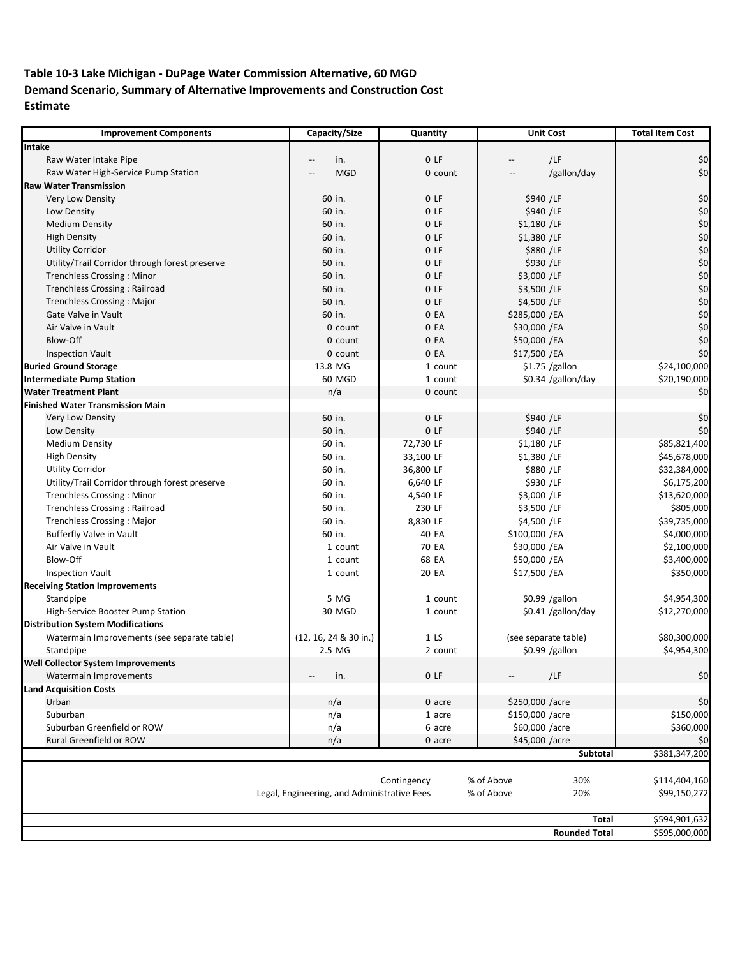# **Table 10‐3 Lake Michigan ‐ DuPage Water Commission Alternative, 60 MGD Demand Scenario, Summary of Alternative Improvements and Construction Cost Estimate**

| <b>Improvement Components</b>                  | Capacity/Size                               | Quantity        | <b>Unit Cost</b>                | <b>Total Item Cost</b> |  |
|------------------------------------------------|---------------------------------------------|-----------------|---------------------------------|------------------------|--|
| Intake                                         |                                             |                 |                                 |                        |  |
| Raw Water Intake Pipe                          | in.                                         | 0 <sub>LF</sub> | /LF<br>$\overline{\phantom{a}}$ | \$0                    |  |
| Raw Water High-Service Pump Station            | <b>MGD</b>                                  | 0 count         | /gallon/day                     | \$0                    |  |
| <b>Raw Water Transmission</b>                  |                                             |                 |                                 |                        |  |
| Very Low Density                               | 60 in.                                      | 0 <sub>LF</sub> | \$940 /LF                       | \$0                    |  |
| Low Density                                    | 60 in.                                      | 0 <sub>LF</sub> | \$940 /LF                       | \$0                    |  |
| <b>Medium Density</b>                          | 60 in.                                      | 0 F             | \$1,180 /LF                     | \$0                    |  |
| <b>High Density</b>                            | 60 in.                                      | 0 <sub>LF</sub> | \$1,380 /LF                     | \$0                    |  |
| <b>Utility Corridor</b>                        | 60 in.                                      | 0 <sub>LF</sub> | \$880 /LF                       | \$0\$                  |  |
| Utility/Trail Corridor through forest preserve | 60 in.                                      | 0 <sub>LF</sub> | \$930 /LF                       | \$0                    |  |
| <b>Trenchless Crossing: Minor</b>              | 60 in.                                      | 0 <sub>LF</sub> | \$3,000 /LF                     | \$0                    |  |
| <b>Trenchless Crossing: Railroad</b>           | 60 in.                                      | 0 <sub>LF</sub> | \$3,500 /LF                     | \$0                    |  |
| <b>Trenchless Crossing: Major</b>              | 60 in.                                      | 0 <sub>LF</sub> | \$4,500 /LF                     | \$0\$                  |  |
| Gate Valve in Vault                            | 60 in.                                      | 0 EA            | \$285,000 /EA                   | \$0                    |  |
| Air Valve in Vault                             | 0 count                                     | 0 EA            | \$30,000 /EA                    | \$0                    |  |
| Blow-Off                                       | 0 count                                     | 0 EA            | \$50,000 /EA                    | \$0                    |  |
| <b>Inspection Vault</b>                        | 0 count                                     | 0 EA            | \$17,500 /EA                    | \$0                    |  |
| <b>Buried Ground Storage</b>                   | 13.8 MG                                     | 1 count         | $$1.75$ /gallon                 | \$24,100,000           |  |
| <b>Intermediate Pump Station</b>               | 60 MGD                                      | 1 count         | \$0.34 /gallon/day              | \$20,190,000           |  |
| <b>Water Treatment Plant</b>                   | n/a                                         | 0 count         |                                 | \$0                    |  |
| <b>Finished Water Transmission Main</b>        |                                             |                 |                                 |                        |  |
| Very Low Density                               |                                             | 0 <sub>LF</sub> | \$940 /LF                       | \$0                    |  |
|                                                | 60 in.                                      | 0 <sub>LF</sub> |                                 |                        |  |
| Low Density                                    | 60 in.                                      |                 | \$940 /LF                       | \$0                    |  |
| <b>Medium Density</b>                          | 60 in.                                      | 72,730 LF       | \$1,180 /LF                     | \$85,821,400           |  |
| <b>High Density</b>                            | 60 in.                                      | 33,100 LF       | \$1,380 /LF                     | \$45,678,000           |  |
| <b>Utility Corridor</b>                        | 60 in.                                      | 36,800 LF       | \$880 /LF                       | \$32,384,000           |  |
| Utility/Trail Corridor through forest preserve | 60 in.                                      | 6,640 LF        | \$930 /LF                       | \$6,175,200            |  |
| Trenchless Crossing: Minor                     | 60 in.                                      | 4,540 LF        | \$3,000 /LF                     | \$13,620,000           |  |
| Trenchless Crossing: Railroad                  | 60 in.                                      | 230 LF          | \$3,500 /LF                     | \$805,000              |  |
| <b>Trenchless Crossing: Major</b>              | 60 in.                                      | 8,830 LF        | \$4,500 /LF                     | \$39,735,000           |  |
| Bufferfly Valve in Vault                       | 60 in.                                      | 40 EA           | \$100,000 /EA                   | \$4,000,000            |  |
| Air Valve in Vault                             | 1 count                                     | 70 EA           | \$30,000 /EA                    | \$2,100,000            |  |
| <b>Blow-Off</b>                                | 1 count                                     | 68 EA           | \$50,000 /EA                    | \$3,400,000            |  |
| <b>Inspection Vault</b>                        | 1 count                                     | 20 EA           | \$17,500 /EA                    | \$350,000              |  |
| <b>Receiving Station Improvements</b>          |                                             |                 |                                 |                        |  |
| Standpipe                                      | 5 MG                                        | 1 count         | $$0.99$ /gallon                 | \$4,954,300            |  |
| High-Service Booster Pump Station              | 30 MGD                                      | 1 count         | \$0.41 /gallon/day              | \$12,270,000           |  |
| <b>Distribution System Modifications</b>       |                                             |                 |                                 |                        |  |
| Watermain Improvements (see separate table)    | (12, 16, 24 & 30 in.)                       | 1 <sub>LS</sub> | (see separate table)            | \$80,300,000           |  |
| Standpipe                                      | 2.5 MG                                      | 2 count         | $$0.99$ /gallon                 | \$4,954,300            |  |
| <b>Well Collector System Improvements</b>      |                                             |                 |                                 |                        |  |
| Watermain Improvements                         | in.<br>--                                   | 0LF             | /LF                             | $$0$$                  |  |
| <b>Land Acquisition Costs</b>                  |                                             |                 |                                 |                        |  |
| Urban                                          | n/a                                         | 0 acre          | \$250,000 /acre                 | \$0                    |  |
| Suburban                                       | n/a                                         | 1 acre          | \$150,000 /acre                 | \$150,000              |  |
| Suburban Greenfield or ROW                     | n/a                                         | 6 acre          | \$60,000 /acre                  | \$360,000              |  |
| Rural Greenfield or ROW                        | n/a                                         | 0 acre          | \$45,000 /acre                  | \$0                    |  |
|                                                |                                             |                 | Subtotal                        | \$381,347,200          |  |
|                                                |                                             |                 |                                 |                        |  |
|                                                |                                             | Contingency     | % of Above<br>30%               | \$114,404,160          |  |
|                                                | Legal, Engineering, and Administrative Fees |                 | % of Above<br>20%               | \$99,150,272           |  |
|                                                |                                             |                 |                                 |                        |  |
|                                                |                                             |                 | <b>Total</b>                    | \$594,901,632          |  |
|                                                |                                             |                 | <b>Rounded Total</b>            | \$595,000,000          |  |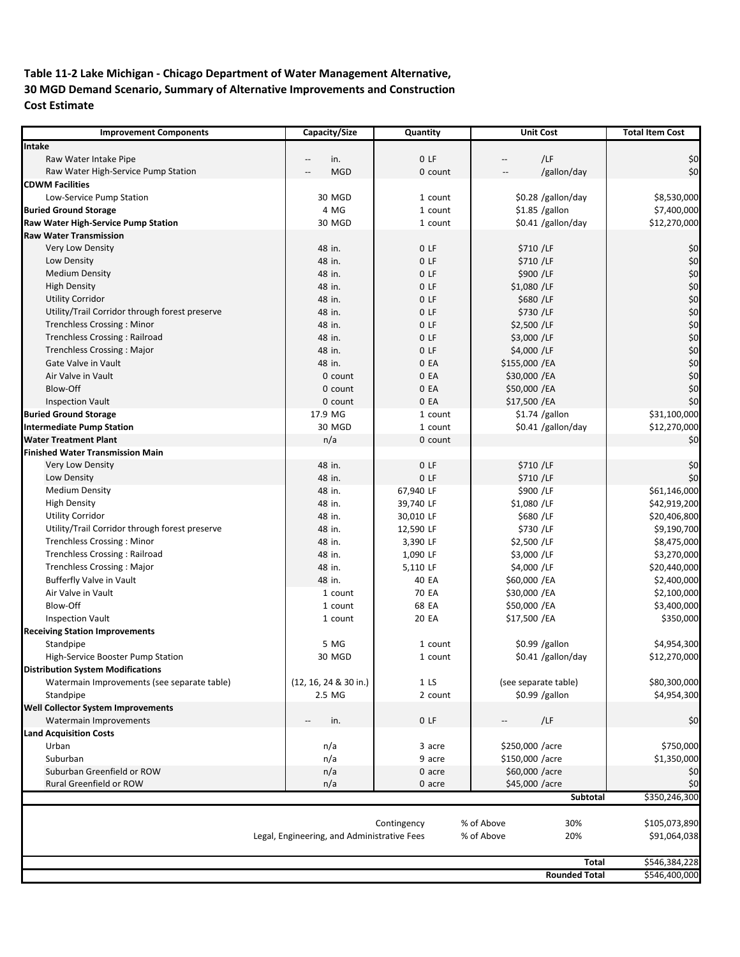### **Table 11‐2 Lake Michigan ‐ Chicago Department of Water Management Alternative, 30 MGD Demand Scenario, Summary of Alternative Improvements and Construction Cost Estimate**

| <b>Improvement Components</b>                                    | Capacity/Size                               | Quantity           | <b>Unit Cost</b>         | <b>Total Item Cost</b> |
|------------------------------------------------------------------|---------------------------------------------|--------------------|--------------------------|------------------------|
| Intake                                                           |                                             |                    |                          |                        |
| Raw Water Intake Pipe                                            | in.                                         | 0LF                | /LF<br>$\qquad \qquad -$ | \$0                    |
| Raw Water High-Service Pump Station                              | <b>MGD</b>                                  | 0 count            | /gallon/day              | \$0                    |
| <b>CDWM Facilities</b>                                           |                                             |                    |                          |                        |
| Low-Service Pump Station                                         | 30 MGD                                      | 1 count            | \$0.28 /gallon/day       | \$8,530,000            |
| <b>Buried Ground Storage</b>                                     | 4 MG                                        | 1 count            | $$1.85$ /gallon          | \$7,400,000            |
| Raw Water High-Service Pump Station                              | 30 MGD                                      | 1 count            | \$0.41 /gallon/day       | \$12,270,000           |
| <b>Raw Water Transmission</b>                                    |                                             |                    |                          |                        |
| <b>Very Low Density</b>                                          | 48 in.                                      | 0 <sub>LF</sub>    | \$710 /LF                | \$0                    |
| Low Density                                                      | 48 in.                                      | 0 <sub>LF</sub>    | \$710 /LF                | \$0                    |
| <b>Medium Density</b>                                            | 48 in.                                      | 0 <sub>LF</sub>    | \$900 /LF                | \$0                    |
| <b>High Density</b>                                              | 48 in.                                      | 0 <sub>LF</sub>    | \$1,080 /LF              | \$0                    |
| <b>Utility Corridor</b>                                          | 48 in.                                      | 0 <sub>LF</sub>    | \$680 /LF                | \$0                    |
| Utility/Trail Corridor through forest preserve                   | 48 in.                                      | 0 <sub>LF</sub>    | \$730 /LF                | \$0                    |
| <b>Trenchless Crossing: Minor</b>                                | 48 in.                                      | 0 <sub>LF</sub>    | \$2,500 /LF              | \$0                    |
| <b>Trenchless Crossing: Railroad</b>                             | 48 in.                                      | 0 <sub>LF</sub>    | \$3,000 /LF              | \$0                    |
| Trenchless Crossing: Major                                       | 48 in.                                      | 0 <sub>LF</sub>    | \$4,000 /LF              | \$0                    |
| Gate Valve in Vault                                              | 48 in.                                      | 0 EA               | \$155,000 /EA            | \$0                    |
| Air Valve in Vault                                               | 0 count                                     | 0 EA               | \$30,000 /EA             | \$0                    |
| Blow-Off                                                         | 0 count                                     | 0 EA               | \$50,000 /EA             | \$0                    |
|                                                                  | 0 count                                     | 0 EA               | \$17,500 /EA             | \$0                    |
| <b>Inspection Vault</b>                                          | 17.9 MG                                     |                    | $$1.74$ /gallon          | \$31,100,000           |
| <b>Buried Ground Storage</b><br><b>Intermediate Pump Station</b> | 30 MGD                                      | 1 count<br>1 count |                          |                        |
|                                                                  |                                             |                    | \$0.41 /gallon/day       | \$12,270,000           |
| <b>Water Treatment Plant</b>                                     | n/a                                         | 0 count            |                          | \$0                    |
| <b>Finished Water Transmission Main</b>                          |                                             |                    |                          |                        |
| Very Low Density                                                 | 48 in.                                      | 0 <sub>LF</sub>    | \$710 /LF                | \$0                    |
| Low Density                                                      | 48 in.                                      | 0 <sub>LF</sub>    | \$710 /LF                | \$0                    |
| <b>Medium Density</b>                                            | 48 in.                                      | 67,940 LF          | \$900 /LF                | \$61,146,000           |
| <b>High Density</b>                                              | 48 in.                                      | 39,740 LF          | \$1,080 /LF              | \$42,919,200           |
| <b>Utility Corridor</b>                                          | 48 in.                                      | 30,010 LF          | \$680 /LF                | \$20,406,800           |
| Utility/Trail Corridor through forest preserve                   | 48 in.                                      | 12,590 LF          | \$730 /LF                | \$9,190,700            |
| <b>Trenchless Crossing: Minor</b>                                | 48 in.                                      | 3,390 LF           | \$2,500 /LF              | \$8,475,000            |
| <b>Trenchless Crossing: Railroad</b>                             | 48 in.                                      | 1,090 LF           | \$3,000 /LF              | \$3,270,000            |
| <b>Trenchless Crossing: Major</b>                                | 48 in.                                      | 5,110 LF           | \$4,000 /LF              | \$20,440,000           |
| Bufferfly Valve in Vault                                         | 48 in.                                      | 40 EA              | \$60,000 /EA             | \$2,400,000            |
| Air Valve in Vault                                               | 1 count                                     | 70 EA              | \$30,000 /EA             | \$2,100,000            |
| Blow-Off                                                         | 1 count                                     | 68 EA              | \$50,000 /EA             | \$3,400,000            |
| <b>Inspection Vault</b>                                          | 1 count                                     | 20 EA              | \$17,500 /EA             | \$350,000              |
| <b>Receiving Station Improvements</b>                            |                                             |                    |                          |                        |
| Standpipe                                                        | 5 MG                                        | 1 count            | $$0.99$ /gallon          | \$4,954,300            |
| High-Service Booster Pump Station                                | 30 MGD                                      | 1 count            | \$0.41 /gallon/day       | \$12,270,000           |
| <b>Distribution System Modifications</b>                         |                                             |                    |                          |                        |
| Watermain Improvements (see separate table)                      | (12, 16, 24 & 30 in.)                       | 1 <sub>LS</sub>    | (see separate table)     | \$80,300,000           |
| Standpipe                                                        | 2.5 MG                                      | 2 count            | \$0.99 /gallon           | \$4,954,300            |
| Well Collector System Improvements                               |                                             |                    |                          |                        |
| Watermain Improvements                                           | in.                                         | 0LF                | /LF                      | \$0                    |
| <b>Land Acquisition Costs</b>                                    |                                             |                    |                          |                        |
| Urban                                                            | n/a                                         | 3 acre             | \$250,000 /acre          | \$750,000              |
| Suburban                                                         | n/a                                         | 9 acre             | \$150,000 /acre          | \$1,350,000            |
| Suburban Greenfield or ROW                                       | n/a                                         | 0 acre             | \$60,000 /acre           | \$0                    |
| Rural Greenfield or ROW                                          | n/a                                         | 0 acre             | \$45,000 /acre           | \$0                    |
|                                                                  |                                             |                    | Subtotal                 | \$350,246,300          |
|                                                                  |                                             |                    |                          |                        |
|                                                                  |                                             | Contingency        | % of Above<br>30%        | \$105,073,890          |
|                                                                  | Legal, Engineering, and Administrative Fees |                    | % of Above<br>20%        | \$91,064,038           |
|                                                                  |                                             |                    |                          |                        |
|                                                                  |                                             |                    | <b>Total</b>             | \$546,384,228          |
|                                                                  |                                             |                    | <b>Rounded Total</b>     | \$546,400,000          |